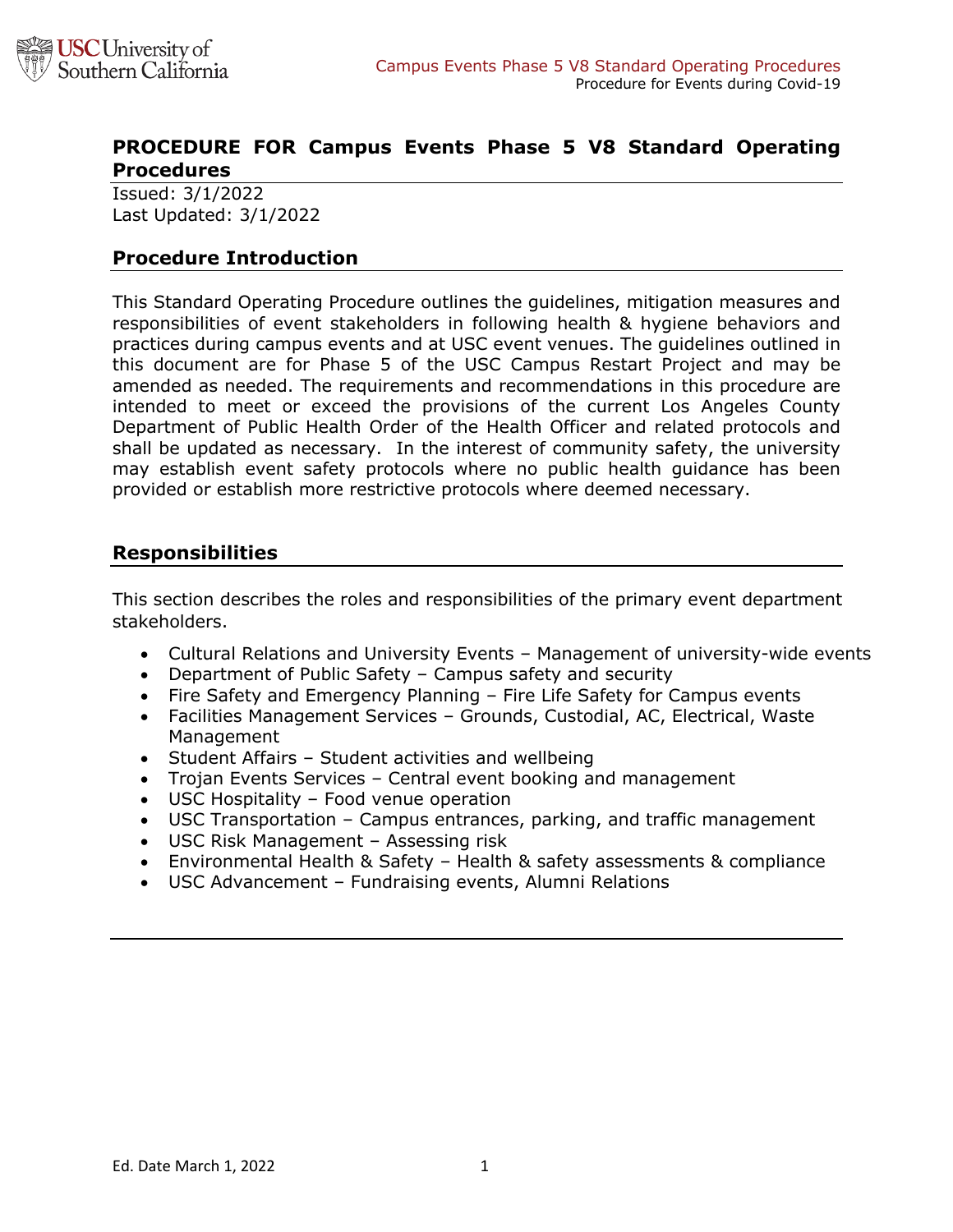

# **PROCEDURE FOR Campus Events Phase 5 V8 Standard Operating Procedures**

Issued: 3/1/2022 Last Updated: 3/1/2022

### **Procedure Introduction**

This Standard Operating Procedure outlines the guidelines, mitigation measures and responsibilities of event stakeholders in following health & hygiene behaviors and practices during campus events and at USC event venues. The guidelines outlined in this document are for Phase 5 of the USC Campus Restart Project and may be amended as needed. The requirements and recommendations in this procedure are intended to meet or exceed the provisions of the current Los Angeles County Department of Public Health Order of the Health Officer and related protocols and shall be updated as necessary. In the interest of community safety, the university may establish event safety protocols where no public health guidance has been provided or establish more restrictive protocols where deemed necessary.

### **Responsibilities**

This section describes the roles and responsibilities of the primary event department stakeholders.

- Cultural Relations and University Events Management of university-wide events
- Department of Public Safety Campus safety and security
- Fire Safety and Emergency Planning Fire Life Safety for Campus events
- Facilities Management Services Grounds, Custodial, AC, Electrical, Waste Management
- Student Affairs Student activities and wellbeing
- Trojan Events Services Central event booking and management
- USC Hospitality Food venue operation
- USC Transportation Campus entrances, parking, and traffic management
- USC Risk Management Assessing risk
- Environmental Health & Safety Health & safety assessments & compliance
- USC Advancement Fundraising events, Alumni Relations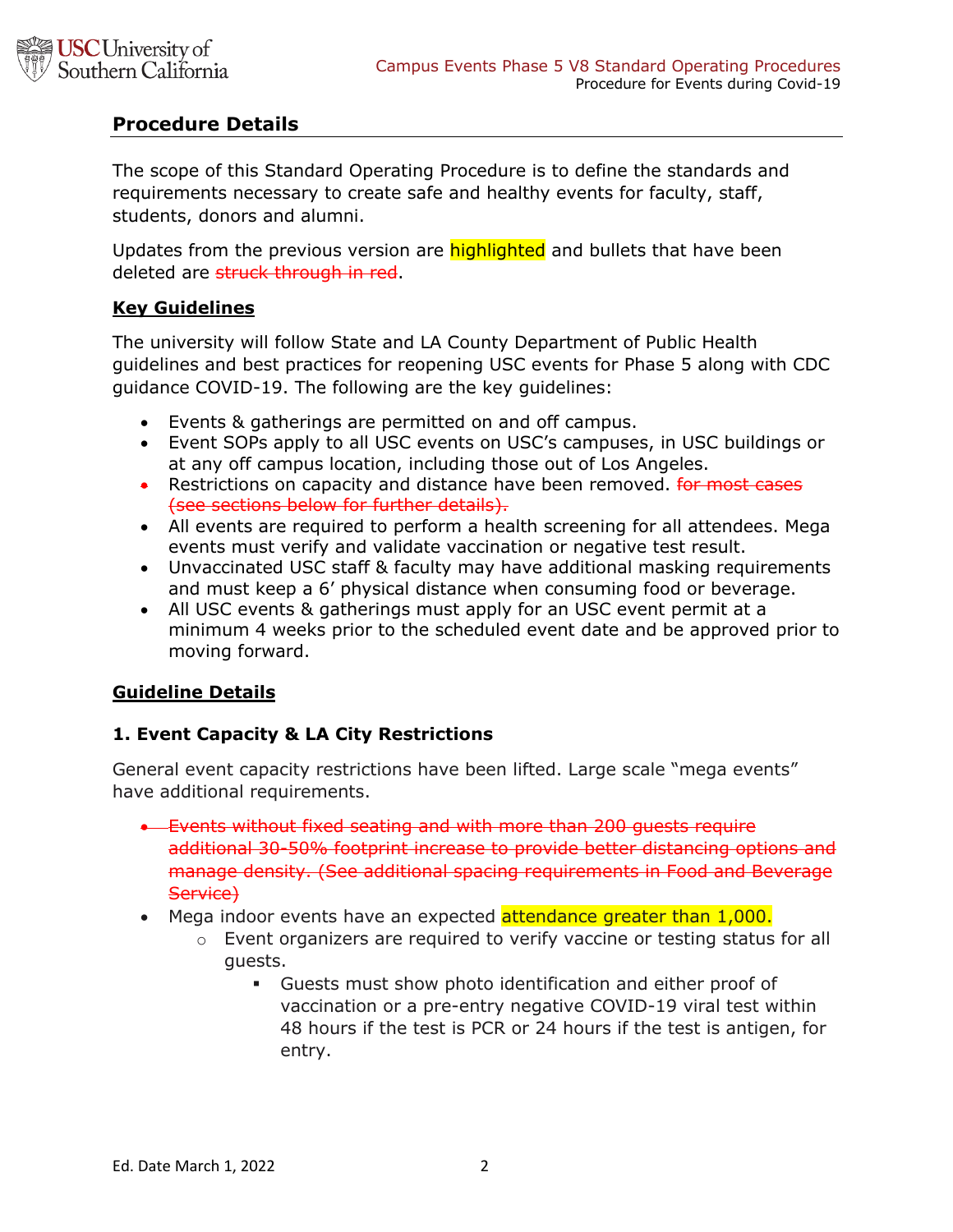

## **Procedure Details**

The scope of this Standard Operating Procedure is to define the standards and requirements necessary to create safe and healthy events for faculty, staff, students, donors and alumni.

Updates from the previous version are **highlighted** and bullets that have been deleted are struck through in red.

#### **Key Guidelines**

The university will follow State and LA County Department of Public Health guidelines and best practices for reopening USC events for Phase 5 along with CDC guidance COVID-19. The following are the key guidelines:

- Events & gatherings are permitted on and off campus.
- Event SOPs apply to all USC events on USC's campuses, in USC buildings or at any off campus location, including those out of Los Angeles.
- Restrictions on capacity and distance have been removed. For most cases (see sections below for further details).
- All events are required to perform a health screening for all attendees. Mega events must verify and validate vaccination or negative test result.
- Unvaccinated USC staff & faculty may have additional masking requirements and must keep a 6' physical distance when consuming food or beverage.
- All USC events & gatherings must apply for an USC event permit at a minimum 4 weeks prior to the scheduled event date and be approved prior to moving forward.

### **Guideline Details**

### **1. Event Capacity & LA City Restrictions**

General event capacity restrictions have been lifted. Large scale "mega events" have additional requirements.

- Events without fixed seating and with more than 200 guests require additional 30-50% footprint increase to provide better distancing options and manage density. (See additional spacing requirements in Food and Beverage Service)
- Mega indoor events have an expected attendance greater than 1,000.
	- $\circ$  Event organizers are required to verify vaccine or testing status for all guests.
		- § Guests must show photo identification and either proof of vaccination or a pre-entry negative COVID-19 viral test within 48 hours if the test is PCR or 24 hours if the test is antigen, for entry.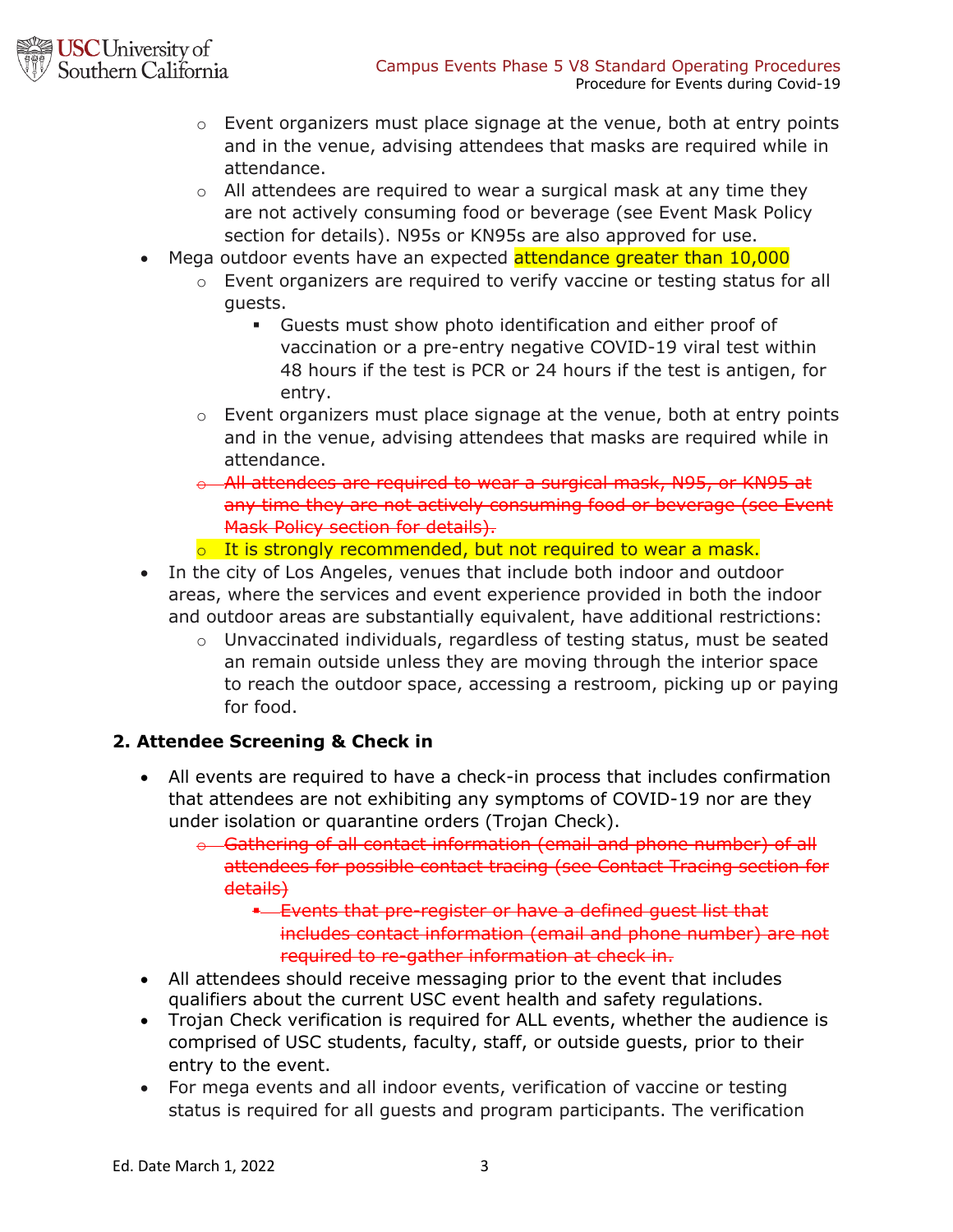

- o Event organizers must place signage at the venue, both at entry points and in the venue, advising attendees that masks are required while in attendance.
- o All attendees are required to wear a surgical mask at any time they are not actively consuming food or beverage (see Event Mask Policy section for details). N95s or KN95s are also approved for use.
- Mega outdoor events have an expected attendance greater than 10,000
	- o Event organizers are required to verify vaccine or testing status for all guests.
		- § Guests must show photo identification and either proof of vaccination or a pre-entry negative COVID-19 viral test within 48 hours if the test is PCR or 24 hours if the test is antigen, for entry.
	- o Event organizers must place signage at the venue, both at entry points and in the venue, advising attendees that masks are required while in attendance.
	- o All attendees are required to wear a surgical mask, N95, or KN95 at any time they are not actively consuming food or beverage (see Event Mask Policy section for details).
	- o It is strongly recommended, but not required to wear a mask.
- In the city of Los Angeles, venues that include both indoor and outdoor areas, where the services and event experience provided in both the indoor and outdoor areas are substantially equivalent, have additional restrictions:
	- $\circ$  Unvaccinated individuals, regardless of testing status, must be seated an remain outside unless they are moving through the interior space to reach the outdoor space, accessing a restroom, picking up or paying for food.

## **2. Attendee Screening & Check in**

- All events are required to have a check-in process that includes confirmation that attendees are not exhibiting any symptoms of COVID-19 nor are they under isolation or quarantine orders (Trojan Check).
	- o Gathering of all contact information (email and phone number) of all attendees for possible contact tracing (see Contact Tracing section for details)

§ Events that pre-register or have a defined guest list that includes contact information (email and phone number) are not required to re-gather information at check in.

- All attendees should receive messaging prior to the event that includes qualifiers about the current USC event health and safety regulations.
- Trojan Check verification is required for ALL events, whether the audience is comprised of USC students, faculty, staff, or outside guests, prior to their entry to the event.
- For mega events and all indoor events, verification of vaccine or testing status is required for all guests and program participants. The verification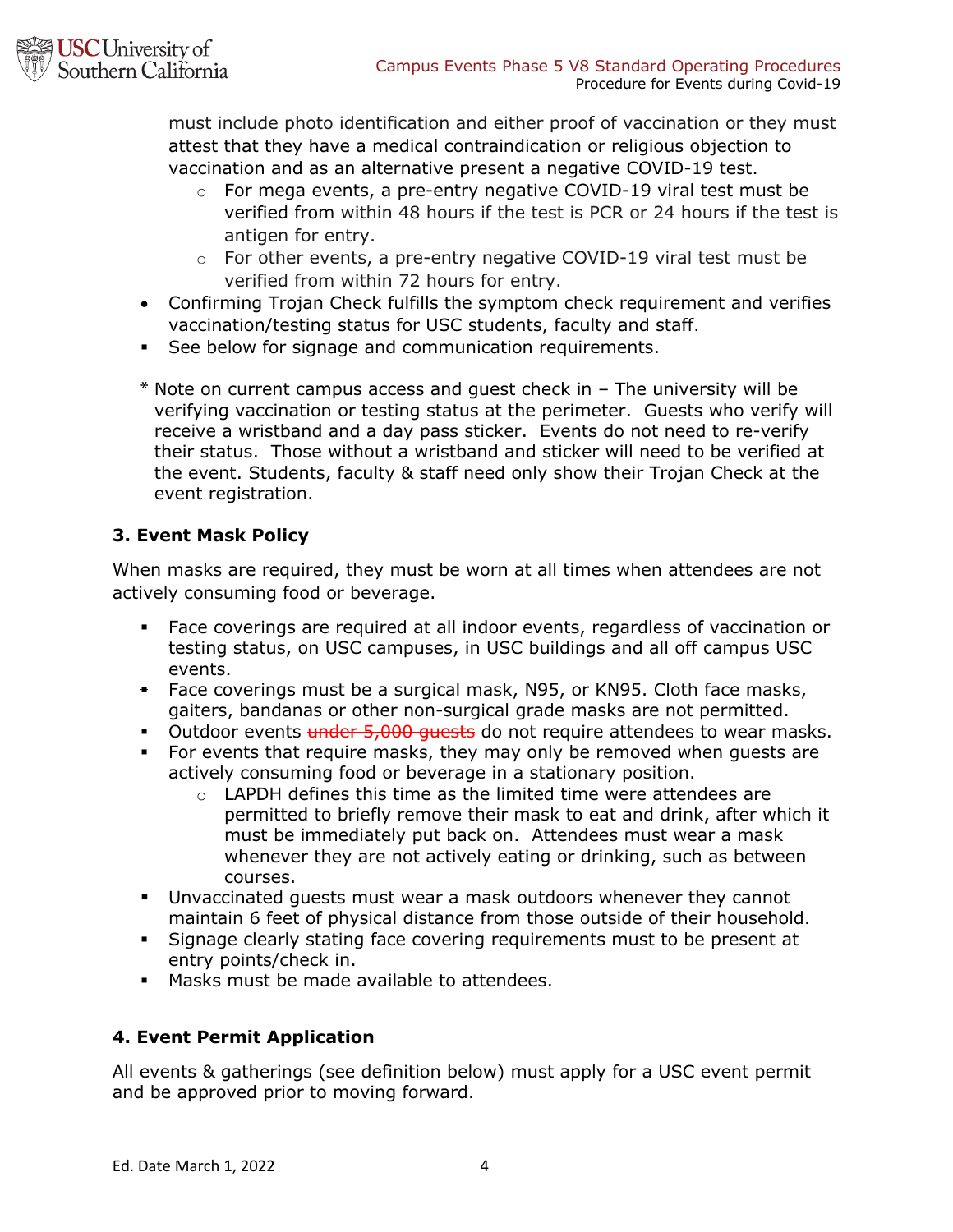

must include photo identification and either proof of vaccination or they must attest that they have a medical contraindication or religious objection to vaccination and as an alternative present a negative COVID-19 test.

- o For mega events, a pre-entry negative COVID-19 viral test must be verified from within 48 hours if the test is PCR or 24 hours if the test is antigen for entry.
- $\circ$  For other events, a pre-entry negative COVID-19 viral test must be verified from within 72 hours for entry.
- Confirming Trojan Check fulfills the symptom check requirement and verifies vaccination/testing status for USC students, faculty and staff.
- See below for signage and communication requirements.
- **\*** Note on current campus access and guest check in The university will be verifying vaccination or testing status at the perimeter. Guests who verify will receive a wristband and a day pass sticker. Events do not need to re-verify their status. Those without a wristband and sticker will need to be verified at the event. Students, faculty & staff need only show their Trojan Check at the event registration.

# **3. Event Mask Policy**

When masks are required, they must be worn at all times when attendees are not actively consuming food or beverage.

- § Face coverings are required at all indoor events, regardless of vaccination or testing status, on USC campuses, in USC buildings and all off campus USC events.
- § Face coverings must be a surgical mask, N95, or KN95. Cloth face masks, gaiters, bandanas or other non-surgical grade masks are not permitted.
- Outdoor events under 5,000 quests do not require attendees to wear masks.
- For events that require masks, they may only be removed when guests are actively consuming food or beverage in a stationary position.
	- o LAPDH defines this time as the limited time were attendees are permitted to briefly remove their mask to eat and drink, after which it must be immediately put back on. Attendees must wear a mask whenever they are not actively eating or drinking, such as between courses.
- § Unvaccinated guests must wear a mask outdoors whenever they cannot maintain 6 feet of physical distance from those outside of their household.
- Signage clearly stating face covering requirements must to be present at entry points/check in.
- § Masks must be made available to attendees.

## **4. Event Permit Application**

All events & gatherings (see definition below) must apply for a USC event permit and be approved prior to moving forward.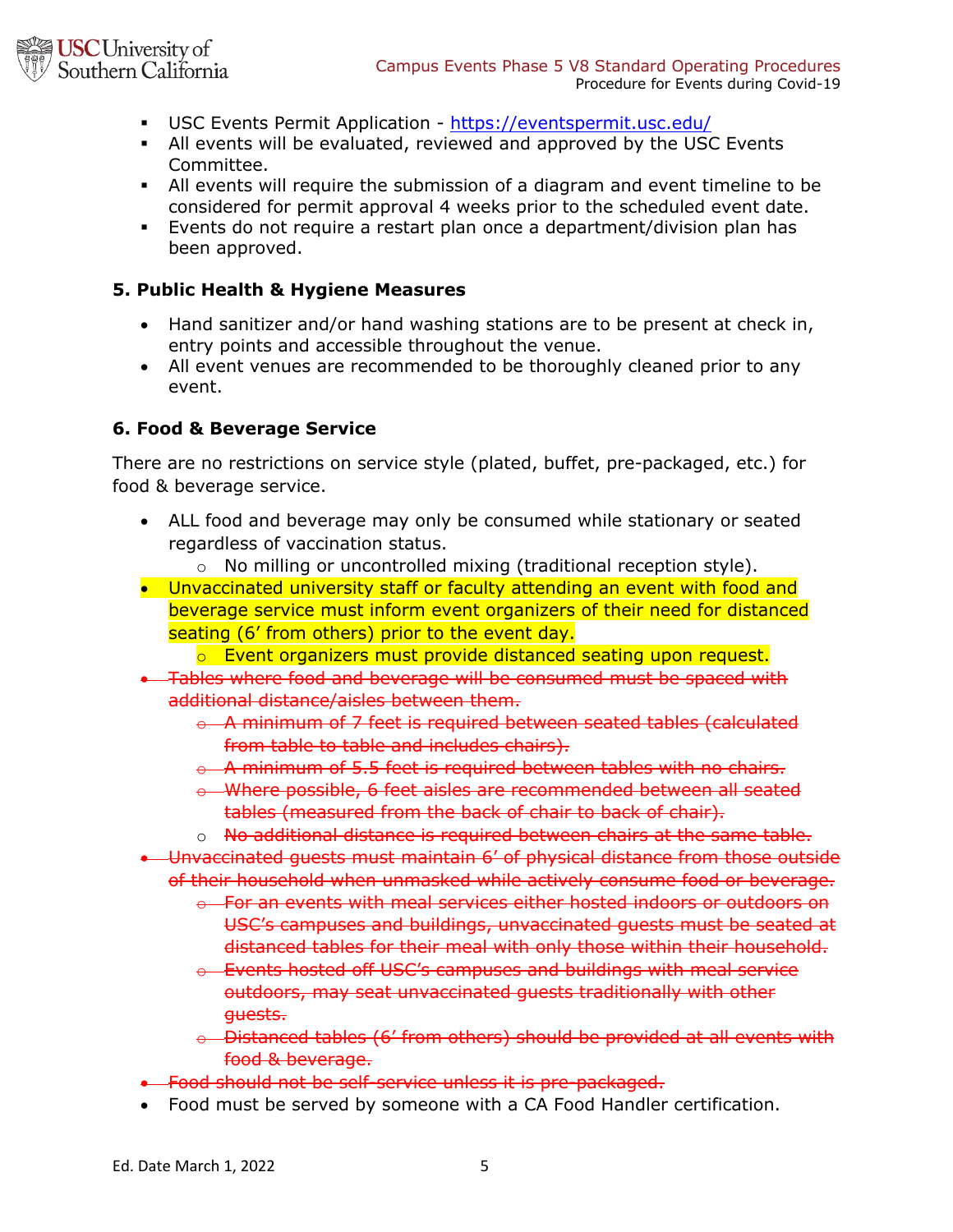

- § USC Events Permit Application https://eventspermit.usc.edu/
- § All events will be evaluated, reviewed and approved by the USC Events Committee.
- All events will require the submission of a diagram and event timeline to be considered for permit approval 4 weeks prior to the scheduled event date.
- § Events do not require a restart plan once a department/division plan has been approved.

### **5. Public Health & Hygiene Measures**

- Hand sanitizer and/or hand washing stations are to be present at check in, entry points and accessible throughout the venue.
- All event venues are recommended to be thoroughly cleaned prior to any event.

#### **6. Food & Beverage Service**

There are no restrictions on service style (plated, buffet, pre-packaged, etc.) for food & beverage service.

- ALL food and beverage may only be consumed while stationary or seated regardless of vaccination status.
	- o No milling or uncontrolled mixing (traditional reception style).
- Unvaccinated university staff or faculty attending an event with food and beverage service must inform event organizers of their need for distanced seating (6' from others) prior to the event day.
	- o Event organizers must provide distanced seating upon request.
- Tables where food and beverage will be consumed must be spaced with additional distance/aisles between them.
	- o A minimum of 7 feet is required between seated tables (calculated from table to table and includes chairs).
	- $\theta$  A minimum of 5.5 feet is required between tables with no chairs.
	- o Where possible, 6 feet aisles are recommended between all seated tables (measured from the back of chair to back of chair).
	- o No additional distance is required between chairs at the same table.
- Unvaccinated guests must maintain 6' of physical distance from those outside of their household when unmasked while actively consume food or beverage.
	- $\theta$  For an events with meal services either hosted indoors or outdoors on USC's campuses and buildings, unvaccinated guests must be seated at distanced tables for their meal with only those within their household.
	- o Events hosted off USC's campuses and buildings with meal service outdoors, may seat unvaccinated guests traditionally with other guests.
	- o Distanced tables (6' from others) should be provided at all events with food & beverage.
- Food should not be self-service unless it is pre-packaged.
- Food must be served by someone with a CA Food Handler certification.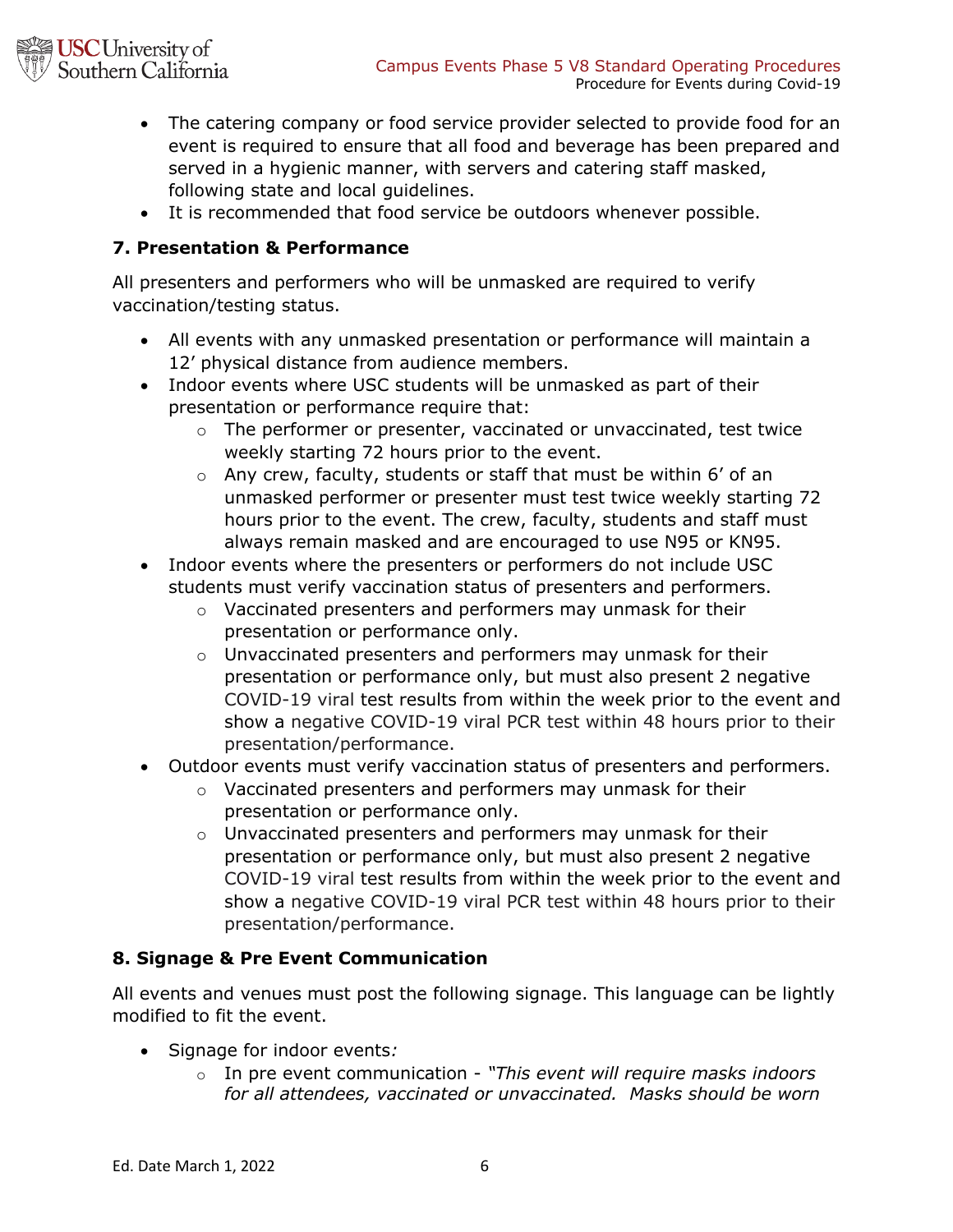

- The catering company or food service provider selected to provide food for an event is required to ensure that all food and beverage has been prepared and served in a hygienic manner, with servers and catering staff masked, following state and local guidelines.
- It is recommended that food service be outdoors whenever possible.

## **7. Presentation & Performance**

All presenters and performers who will be unmasked are required to verify vaccination/testing status.

- All events with any unmasked presentation or performance will maintain a 12' physical distance from audience members.
- Indoor events where USC students will be unmasked as part of their presentation or performance require that:
	- o The performer or presenter, vaccinated or unvaccinated, test twice weekly starting 72 hours prior to the event.
	- o Any crew, faculty, students or staff that must be within 6' of an unmasked performer or presenter must test twice weekly starting 72 hours prior to the event. The crew, faculty, students and staff must always remain masked and are encouraged to use N95 or KN95.
- Indoor events where the presenters or performers do not include USC students must verify vaccination status of presenters and performers.
	- o Vaccinated presenters and performers may unmask for their presentation or performance only.
	- o Unvaccinated presenters and performers may unmask for their presentation or performance only, but must also present 2 negative COVID-19 viral test results from within the week prior to the event and show a negative COVID-19 viral PCR test within 48 hours prior to their presentation/performance.
- Outdoor events must verify vaccination status of presenters and performers.
	- o Vaccinated presenters and performers may unmask for their presentation or performance only.
	- o Unvaccinated presenters and performers may unmask for their presentation or performance only, but must also present 2 negative COVID-19 viral test results from within the week prior to the event and show a negative COVID-19 viral PCR test within 48 hours prior to their presentation/performance.

## **8. Signage & Pre Event Communication**

All events and venues must post the following signage. This language can be lightly modified to fit the event.

- Signage for indoor events*:*
	- o In pre event communication *"This event will require masks indoors for all attendees, vaccinated or unvaccinated. Masks should be worn*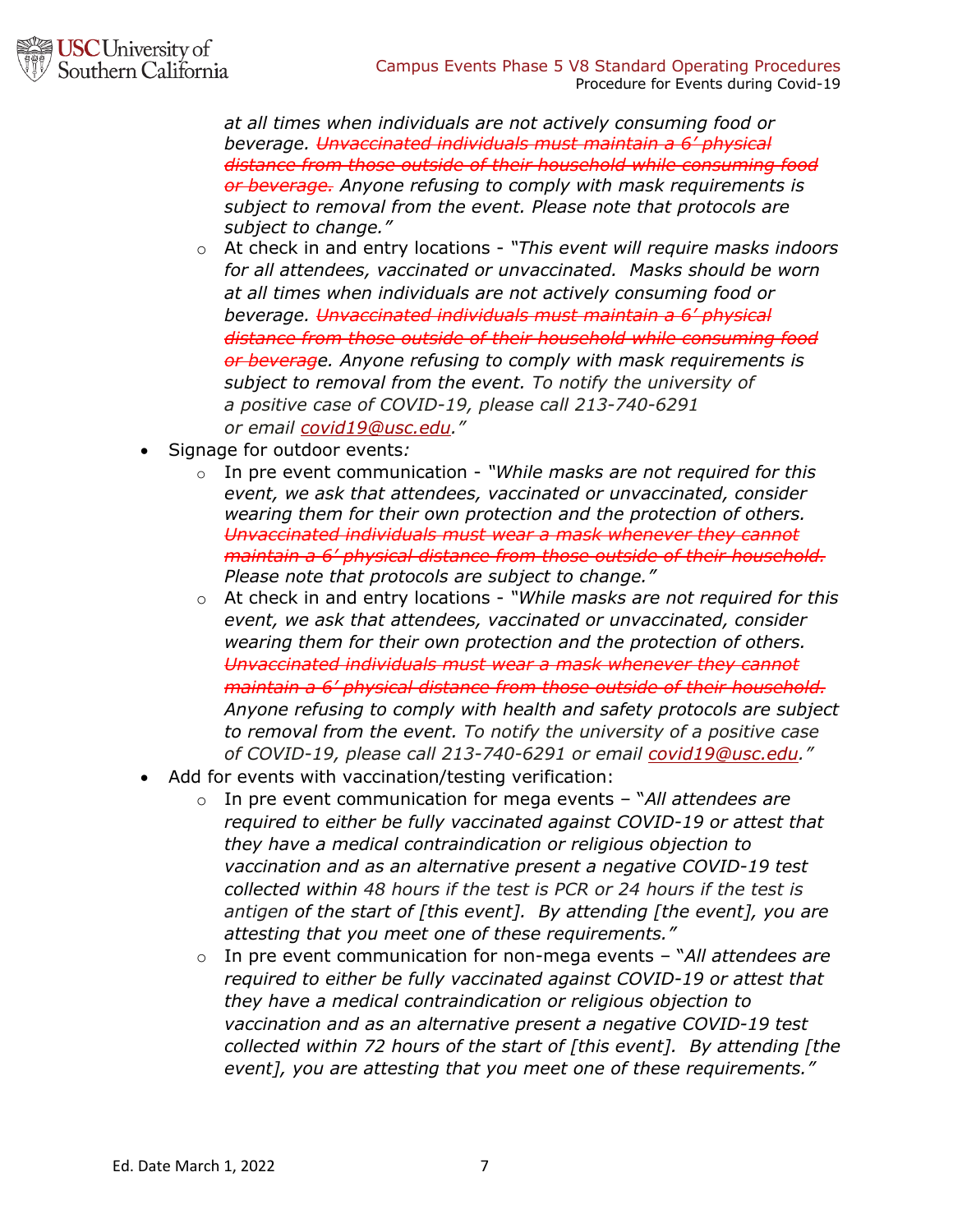*at all times when individuals are not actively consuming food or beverage. Unvaccinated individuals must maintain a 6' physical distance from those outside of their household while consuming food or beverage. Anyone refusing to comply with mask requirements is subject to removal from the event. Please note that protocols are subject to change."*

- o At check in and entry locations *"This event will require masks indoors for all attendees, vaccinated or unvaccinated. Masks should be worn at all times when individuals are not actively consuming food or beverage. Unvaccinated individuals must maintain a 6' physical distance from those outside of their household while consuming food or beverage. Anyone refusing to comply with mask requirements is subject to removal from the event. To notify the university of a positive case of COVID-19, please call 213-740-6291 or email covid19@usc.edu."*
- Signage for outdoor events*:*
	- o In pre event communication *"While masks are not required for this event, we ask that attendees, vaccinated or unvaccinated, consider wearing them for their own protection and the protection of others. Unvaccinated individuals must wear a mask whenever they cannot maintain a 6' physical distance from those outside of their household. Please note that protocols are subject to change."*
	- o At check in and entry locations *"While masks are not required for this event, we ask that attendees, vaccinated or unvaccinated, consider wearing them for their own protection and the protection of others. Unvaccinated individuals must wear a mask whenever they cannot maintain a 6' physical distance from those outside of their household. Anyone refusing to comply with health and safety protocols are subject to removal from the event. To notify the university of a positive case of COVID-19, please call 213-740-6291 or email covid19@usc.edu."*
- Add for events with vaccination/testing verification:
	- o In pre event communication for mega events "*All attendees are required to either be fully vaccinated against COVID-19 or attest that they have a medical contraindication or religious objection to vaccination and as an alternative present a negative COVID-19 test collected within 48 hours if the test is PCR or 24 hours if the test is antigen of the start of [this event]. By attending [the event], you are attesting that you meet one of these requirements."*
	- o In pre event communication for non-mega events "*All attendees are required to either be fully vaccinated against COVID-19 or attest that they have a medical contraindication or religious objection to vaccination and as an alternative present a negative COVID-19 test collected within 72 hours of the start of [this event]. By attending [the event], you are attesting that you meet one of these requirements."*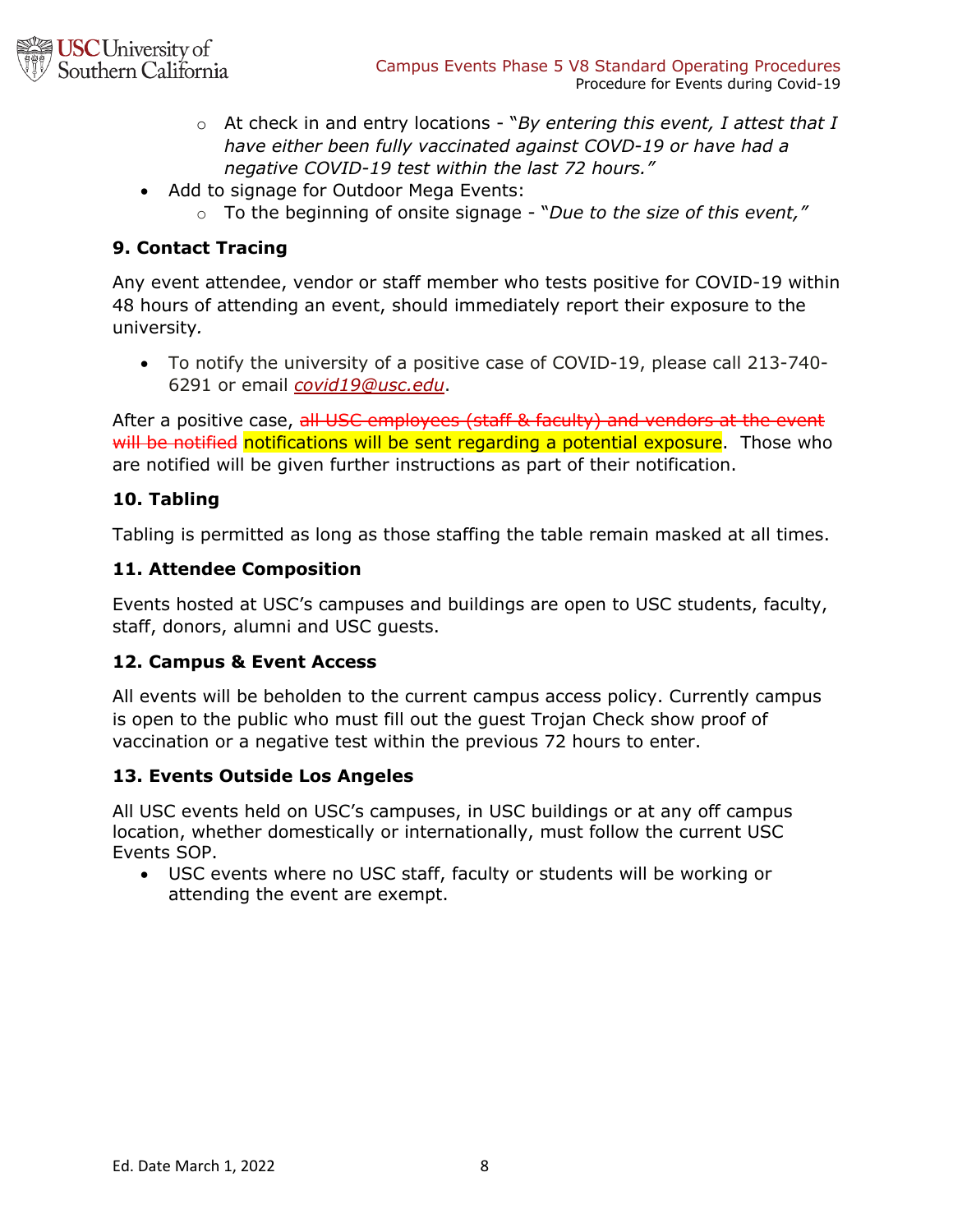

- o At check in and entry locations "*By entering this event, I attest that I have either been fully vaccinated against COVD-19 or have had a negative COVID-19 test within the last 72 hours."*
- Add to signage for Outdoor Mega Events:
	- o To the beginning of onsite signage "*Due to the size of this event,"*

# **9. Contact Tracing**

Any event attendee, vendor or staff member who tests positive for COVID-19 within 48 hours of attending an event, should immediately report their exposure to the university*.* 

• To notify the university of a positive case of COVID-19, please call 213-740- 6291 or email *covid19@usc.edu*.

After a positive case, all USC employees (staff & faculty) and vendors at the event will be notified notifications will be sent regarding a potential exposure. Those who are notified will be given further instructions as part of their notification.

### **10. Tabling**

Tabling is permitted as long as those staffing the table remain masked at all times.

### **11. Attendee Composition**

Events hosted at USC's campuses and buildings are open to USC students, faculty, staff, donors, alumni and USC guests.

### **12. Campus & Event Access**

All events will be beholden to the current campus access policy. Currently campus is open to the public who must fill out the guest Trojan Check show proof of vaccination or a negative test within the previous 72 hours to enter.

### **13. Events Outside Los Angeles**

All USC events held on USC's campuses, in USC buildings or at any off campus location, whether domestically or internationally, must follow the current USC Events SOP.

• USC events where no USC staff, faculty or students will be working or attending the event are exempt.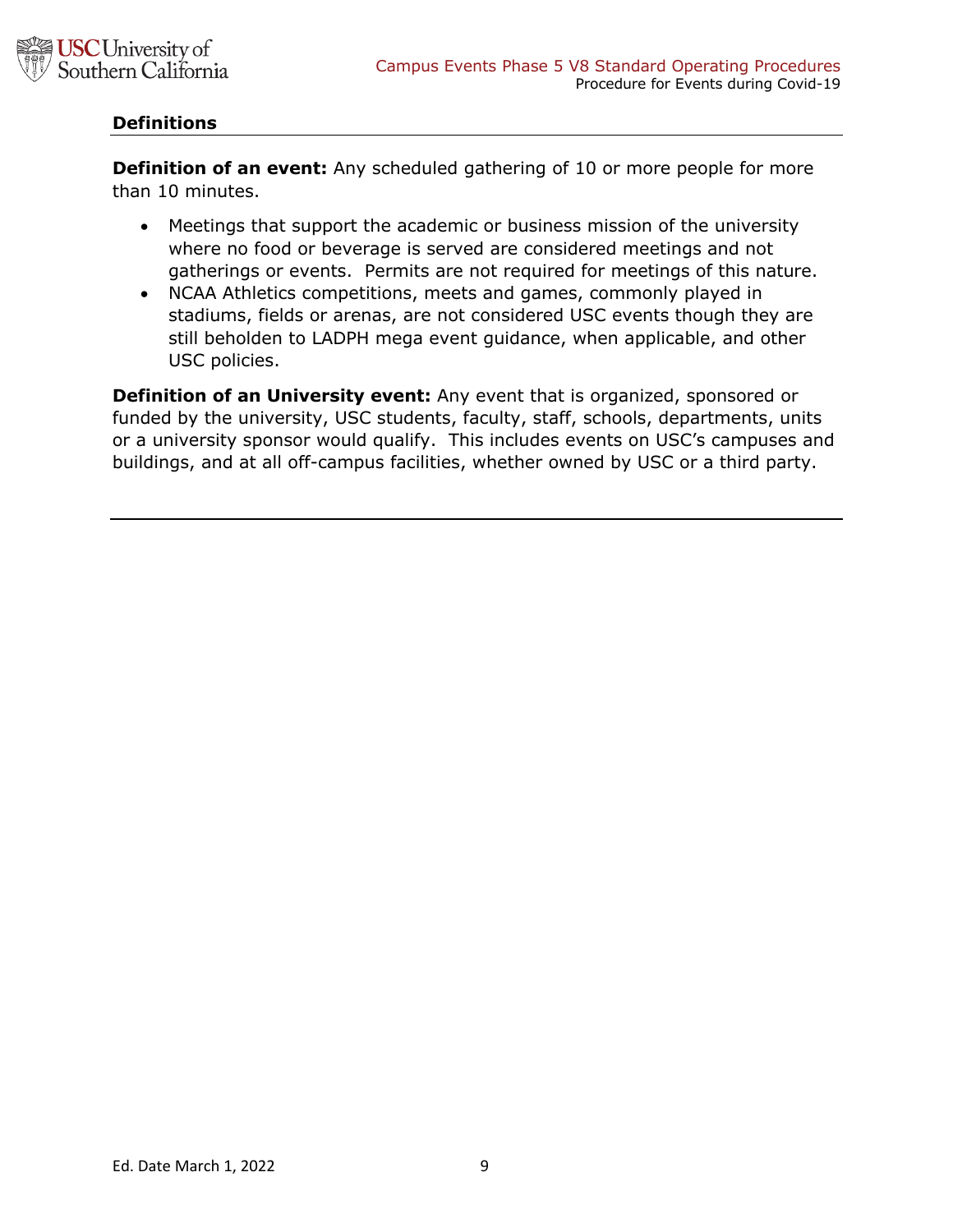

### **Definitions**

**Definition of an event:** Any scheduled gathering of 10 or more people for more than 10 minutes.

- Meetings that support the academic or business mission of the university where no food or beverage is served are considered meetings and not gatherings or events. Permits are not required for meetings of this nature.
- NCAA Athletics competitions, meets and games, commonly played in stadiums, fields or arenas, are not considered USC events though they are still beholden to LADPH mega event guidance, when applicable, and other USC policies.

**Definition of an University event:** Any event that is organized, sponsored or funded by the university, USC students, faculty, staff, schools, departments, units or a university sponsor would qualify. This includes events on USC's campuses and buildings, and at all off-campus facilities, whether owned by USC or a third party.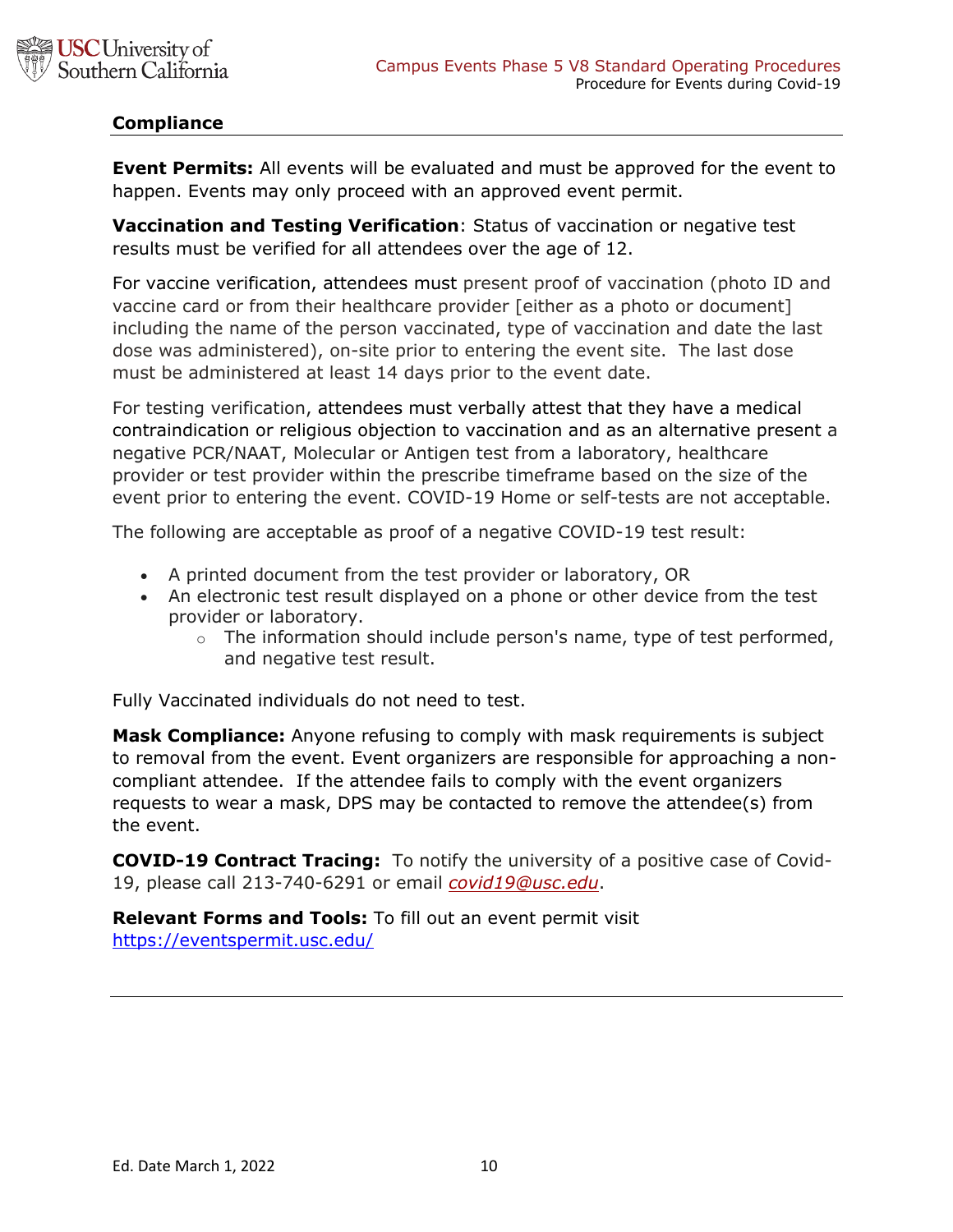

## **Compliance**

**Event Permits:** All events will be evaluated and must be approved for the event to happen. Events may only proceed with an approved event permit.

**Vaccination and Testing Verification**: Status of vaccination or negative test results must be verified for all attendees over the age of 12.

For vaccine verification, attendees must present proof of vaccination (photo ID and vaccine card or from their healthcare provider [either as a photo or document] including the name of the person vaccinated, type of vaccination and date the last dose was administered), on-site prior to entering the event site. The last dose must be administered at least 14 days prior to the event date.

For testing verification, attendees must verbally attest that they have a medical contraindication or religious objection to vaccination and as an alternative present a negative PCR/NAAT, Molecular or Antigen test from a laboratory, healthcare provider or test provider within the prescribe timeframe based on the size of the event prior to entering the event. COVID-19 Home or self-tests are not acceptable.

The following are acceptable as proof of a negative COVID-19 test result:

- A printed document from the test provider or laboratory, OR
- An electronic test result displayed on a phone or other device from the test provider or laboratory.
	- $\circ$  The information should include person's name, type of test performed, and negative test result.

Fully Vaccinated individuals do not need to test.

**Mask Compliance:** Anyone refusing to comply with mask requirements is subject to removal from the event. Event organizers are responsible for approaching a noncompliant attendee. If the attendee fails to comply with the event organizers requests to wear a mask, DPS may be contacted to remove the attendee(s) from the event.

**COVID-19 Contract Tracing:** To notify the university of a positive case of Covid-19, please call 213-740-6291 or email *covid19@usc.edu*.

**Relevant Forms and Tools:** To fill out an event permit visit https://eventspermit.usc.edu/